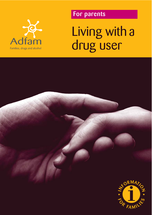

# **Proparents**

Living with a drug user

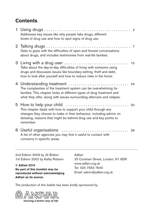# **Contents**

| Addresses key issues like why people take drugs, different<br>levels of drug use and how to spot signs of drug use.                                                                                                                                |     |
|----------------------------------------------------------------------------------------------------------------------------------------------------------------------------------------------------------------------------------------------------|-----|
| Gets to grips with the difficulties of open and honest conversations<br>about drugs, and includes testimonies from real-life families.                                                                                                             | - 7 |
| Talks about the day-to-day difficulties of living with someone using<br>drugs and discusses issues like boundary-setting, theft and debt,<br>how to look after yourself and how to reduce risks in the home.                                       | 15  |
| The complexities of the treatment system can be overwhelming for<br>families. This chapter looks at different types of drug treatment and<br>what they offer, along with issues surrounding aftercare and relapse.                                 |     |
| 5 How to help your child<br>This chapter deals with how to support your child through any<br>changes they choose to make in their behaviour, including advice on<br>detoxing, reasons that might be behind drug use and key points to<br>remember. | 30  |
| A list of other agencies you may find it useful to contact with<br>concerns in specific areas.                                                                                                                                                     | 39  |

2nd Edition 2009 by Jill Britton 1st Edition 2002 by Kathy Robson

**© Adfam 2010 No part of this booklet may be reproduced without acknowledging Adfam as its source.**

Adfam

25 Corsham Street, London, N1 6DR www.adfam.org.uk Tel: 020 7553 7640 Email: admin@adfam.org.uk

The production of this boklet has been kindly sponsored by

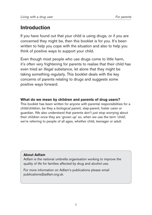# **Introduction**

If you have found out that your child is using drugs, or if you are concerned they might be, then this booklet is for you. It's been written to help you cope with the situation and also to help you think of positive ways to support your child.

Even though most people who use drugs come to little harm, it's often very frightening for parents to realise that their child has even tried an illegal substance, let alone that they might be taking something regularly. This booklet deals with the key concerns of parents relating to drugs and suggests some positive ways forward.

## **What do we mean by children and parents of drug users?**

This booklet has been written for anyone with parental responsibilities for a child/children, be they a biological parent, step-parent, foster carer or guardian. We also understand that parents don't just stop worrying about their children once they are 'grown up' so, when we use the term 'child', we're referring to people of all ages, whether child, teenager or adult.

## **About Adfam**

Adfam is the national umbrella organisation working to improve the quality of life for families affected by drug and alcohol use.

For more information on Adfam's publications please email publications@adfam.org.uk.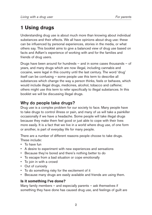# **1 Using drugs**

Understanding drug use is about much more than knowing about individual substances and their effects. We all have opinions about drug use: these can be influenced by personal experiences, stories in the media, or what others say. This booklet aims to give a balanced view of drug use based on facts and Adfam's experience of working with and for the families and friends of drug users.

Drugs have been around for hundreds – and in some cases thousands – of years, and many drugs which are now illegal, including cannabis and cocaine, were legal in this country until the last century. The word 'drug' itself can be confusing – some people use this term to describe all substances which change the way a person thinks, feels or behaves, which would include illegal drugs, medicines, alcohol, tobacco and caffeine; others might use this term to refer specifically to illegal substances. In this booklet we will be discussing illegal drugs.

# **Why do people take drugs?**

Drug use is a complex problem for our society to face. Many people have to take drugs to control illness or pain, and many of us will take a painkiller occasionally if we have a headache. Some people will take illegal drugs because they make them feel good or just able to cope with their lives more easily. It is a fact that we live in a world where drug use, of one form or another, is part of everyday life for many people.

There are a number of different reasons people choose to take drugs. These include:

- To have fun
- A desire to experiment with new experiences and sensations
- Because they're bored and there's nothing better to do
- To escape from a bad situation or cope emotionally
- To join in with a crowd
- Out of curiosity
- To do something risky for the excitement of it
- Because many drugs are easily available and friends are using them.

## **Is it something I've done?**

Many family members – and especially parents – ask themselves if something they have done has caused drug use, and feelings of guilt are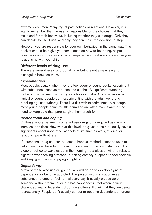extremely common. Many regret past actions or reactions. However, it is vital to remember that the user is responsible for the choices that they make and for their behaviour, including whether they use drugs. Only they can decide to use drugs, and only they can make the decision to stop.

However, you are responsible for your own behaviour in the same way. This booklet should help give you some ideas on how to be strong, helpful, resolute or supportive as and when required, and find ways to improve your relationship with your child.

## **Different levels of drug use**

There are several levels of drug taking – but it is not always easy to distinguish between them.

#### *Experimenting*

Most people, usually when they are teenagers or young adults, experiment with substances such as tobacco and alcohol. A significant number go further and experiment with drugs such as cannabis. Such behaviour is typical of young people both experimenting with the adult world and rebelling against authority. There is a risk with experimentation, although most young people come to little harm and are often more aware of the need to keep safe than parents give them credit for.

#### *Recreational and coping*

Of those who experiment, some will use drugs on a regular basis – which increases the risks. However, at this level, drug use does not usually have a significant impact upon other aspects of life such as work, studies, or relationships with others.

'Recreational' drug use can become a habitual method someone uses to help them cope, have fun or relax. This applies to many substances – from a cup of coffee to wake us up in the morning; to a glass of wine to relax; a cigarette when feeling stressed; or taking ecstasy or speed to feel sociable and keep going whilst enjoying a night out.

## *Dependency*

A few of those who use drugs regularly will go on to develop signs of dependency, or become addicted. The person in this situation uses substances to cope or feel normal every day. It usually creeps up on someone without them noticing it has happened; in fact when initially challenged, many dependent drug users often still think that they are using recreationally. People don't usually set out to become dependent on drugs,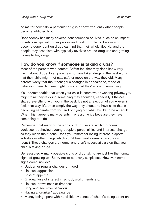no matter how risky a particular drug is or how frequently other people become addicted to it.

Dependency has many adverse consequences on lives, such as an impact on relationships with other people and health problems. People who become dependent on drugs can find that their whole lifestyle, and the people they associate with, typically revolves around drug use and getting money to buy drugs.

## **How do you know if someone is taking drugs?**

Most of the parents who contact Adfam feel that they don't know very much about drugs. Even parents who have taken drugs in the past worry that their child might not stay safe or move on the way they did. Many parents worry that their teenager's changes in appearance, mood or behaviour towards them might indicate that they're taking something.

It's understandable that when your child is secretive or wanting privacy, you might think they're doing something they shouldn't, especially if they've shared everything with you in the past. It's not a rejection of you - even if it feels that way. It's often simply the way they choose to have a life that is becoming separate from you and of trying out what it's like to be an adult. When this happens many parents may assume it's because they have something to hide.

Remember that many of the signs of drug use are similar to normal adolescent behaviour: young people's personalities and interests change as they reach their teens. Don't you remember losing interest in sports activities or other things which you'd been really keen on in your own teens? These changes are normal and aren't necessarily a sign that your child is taking drugs.

Be reassured – many possible signs of drug taking are just like the normal signs of growing up. So try not to be overly suspicious! However, some signs could include:

- Sudden or regular changes of mood
- Unusual aggression
- Loss of appetite
- Gradual loss of interest in school, work, friends etc.
- Unusual drowsiness or tiredness
- Lying and secretive behaviour
- Having a 'drunken' appearance
- Money being spent with no visible evidence of what it's being spent on.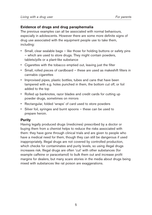## **Evidence of drugs and drug paraphernalia**

The previous examples can all be associated with normal behaviours, especially in adolescents. However there are some more definite signs of drug use associated with the equipment people use to take them, including:

- Small, clear sealable bags like those for holding buttons or safety pins – which are used to store drugs. They might contain powders, tablets/pills or a plant-like substance
- Cigarettes with the tobacco emptied out, leaving just the filter
- Small, rolled pieces of cardboard these are used as makeshift filters in cannabis cigarettes
- Improvised pipes, plastic bottles, tubes and cans that have been tampered with e.g. holes punched in them, the bottom cut off, or foil added to the top
- Rolled up banknotes, razor blades and credit cards for cutting up powder drugs, sometimes on mirrors
- Rectangular, folded 'wraps' of card used to store powders
- Silver foil, syringes and burnt spoons these can be used to prepare heroin.

## **Purity**

Having legally produced drugs (medicines) prescribed by a doctor or buying them from a chemist helps to reduce the risks associated with them: they have gone through clinical trials and are given to people who have a medical need for them, though they can still be dangerous if used inappropriately. Illegal drugs are not covered by controlled production, which checks for contaminates and purity levels, so using illegal drugs increases risk. Illegal drugs are often 'cut' with other substances (for example caffeine or paracetamol) to bulk them out and increase profit margins for dealers, but many scare stories in the media about drugs being mixed with substances like rat poison are exaggerations.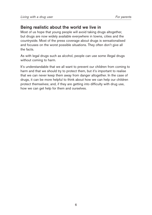## **Being realistic about the world we live in**

Most of us hope that young people will avoid taking drugs altogether, but drugs are now widely available everywhere in towns, cities and the countryside. Most of the press coverage about drugs is sensationalised and focuses on the worst possible situations. They often don't give all the facts.

As with legal drugs such as alcohol, people can use some illegal drugs without coming to harm.

It's understandable that we all want to prevent our children from coming to harm and that we should try to protect them, but it's important to realise that we can never keep them away from danger altogether. In the case of drugs, it can be more helpful to think about how we can help our children protect themselves; and, if they are getting into difficulty with drug use, how we can get help for them and ourselves.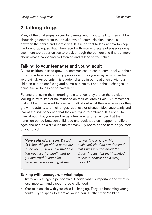# **2 Talking drugs**

Many of the challenges voiced by parents who want to talk to their children about drugs stem from the breakdown of communication channels between their child and themselves. It is important to look at how to keep the talking going, so that when faced with worrying signs of possible drug use, there are opportunities to break through the barriers and find out more about what's happening by listening and talking to your child.

## **Talking to your teenager and young adult**

As our children start to grow up, communication can become tricky. In their drive for independence young people can push you away, which can be very painful. As parents, this sudden change in our relationship with our children can be confusing and some parents talk about these changes as being similar to loss or bereavement.

Parents are losing their nurturing role and feel they are on the outside looking in, with little or no influence on their children's lives. But remember that children often want to learn and talk about what they are facing as they grow into adults, and their anger, rudeness or silence hides uncertainty and fear of the independence that they are trying to embrace. It is useful to think about what you were like as a teenager and remember that the transition period between childhood and adulthood can happen at different ages and can be a difficult time for many. Try not to be too hard on yourself or your child.

*Mary said of her son, David: " When things did all come out in the open, David said that he'd lied because he didn't want to get into trouble and also because he was raging at me*

*for wanting to know 'his business'. He didn't understand that I was worried about the drugs. He just felt that I wanted to feel in control of his every move. "*

## **Talking with teenagers – what helps**

- Try to keep things in perspective. Decide what is important and what is less important and expect to be challenged
- Your relationship with your child is changing. They are becoming young adults. Try to speak to them as young adults rather than 'children'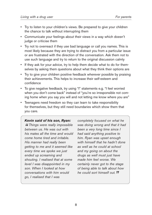- Try to listen to your children's views. Be prepared to give your children the chance to talk without interrupting them
- Communicate your feelings about their views in a way which doesn't judge or criticise them
- Try not to overreact if they use bad language or call you names. This is most likely because they are trying to distract you from a particular issue or are frustrated with the direction of the conversation. Ask them not to use such language and try to return to the original discussion calmly
- If they ask for your advice, try to help them decide what to do for themselves by asking them questions about what they think their options are
- Try to give your children positive feedback wherever possible by praising their achievements. This helps to increase their self-esteem and confidence
- To give negative feedback, try using "I" statements e.g. "I feel worried when you don't come back" instead of "you're so irresponsible not coming home when you say you will and not letting me know where you are"
- Teenagers need freedom so they can learn to take responsibility for themselves, but they still need boundaries which show them that you care.

#### *Kevin said of his son, Ryan:*

*" Things were really impossible between us. He was out with his mates all the time and would come home tired and irritable. His manner had really been getting to me and it seemed like every time we spoke we just ended up screaming and shouting. I realised that at some level I was disappointed in my son. When I looked at how conversations with him would go, I realised that I was*

*completely focused on what he was doing wrong and that it had been a very long time since I had said anything positive to him. Ryan was upset enough with himself that he hadn't done as well as he could at school and my going on about the drugs as well must just have made him feel worse. We certainly never got to the stage of being able to talk about how he could sort himself out. "*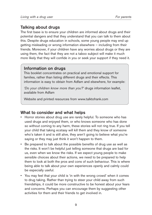## **Talking about drugs**

The first base is to ensure your children are informed about drugs and their potential dangers and that they understand that you can talk to them about this. Despite drugs education in schools, some young people may end up getting misleading or wrong information elsewhere – including from their friends. Moreover, if your children have any worries about drugs or they are using them, the fact that they are not a taboo subject will make it much more likely that they will confide in you or seek your support if they need it.

## **Information on drugs**

This booklet concentrates on practical and emotional support for families, rather than listing different drugs and their effects. This information is easy to obtain from Adfam and elsewhere, for example:

*'Do your children know more than you?'* drugs information leaflet, available from Adfam

Website and printed resources from www.talktofrank.com

## **What to consider and what helps**

- Horror stories about drug use are rarely helpful. To someone who has used drugs and enjoyed them, or who knows someone who has done so without coming to any harm, these stories will not ring true. If you tell your child that taking ecstasy will kill them and they know of someone who's taken it and is still alive, they aren't going to believe what you're saying or they may just think it won't happen to them.
- Be prepared to talk about the possible benefits of drug use as well as the risks. It won't be helpful just telling someone that drugs are bad for us, even when we know the risks. If we expect young people to make sensible choices about their actions, we need to be prepared to help them to look at both the pros and cons of such behaviour. This is where being able to talk about your own experiences openly and calmly could be especially useful.
- You may feel that your child is 'in with the wrong crowd' when it comes to drug taking. Rather than trying to steer your child away from such friendships, it could be more constructive to be honest about your fears and concerns. Perhaps you can encourage them by suggesting other activities for them and their friends to get involved in.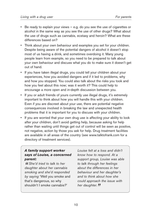- Be ready to explain your views e.g. do you see the use of cigarettes or alcohol in the same way as you see the use of other drugs? What about the use of drugs such as cannabis, ecstasy and heroin? What are these differences based on?
- Think about your own behaviour and examples you set for your children. Despite being aware of the potential dangers of alcohol it doesn't stop most of us having a drink, and sometimes overdoing it. Many young people learn from example, so you need to be prepared to talk about your own behaviour and discuss what you do to make sure it doesn't get out of hand.
- If you have taken illegal drugs, you could tell your children about your experiences, how you avoided dangers and if it led to problems, why and how you stopped. You could also talk about the risks you took and how you feel about this now; was it worth it? This could help to encourage a more open and in-depth discussion between you.
- If you or adult friends of yours currently use illegal drugs, it's extremely important to think about how you will handle this with your children. Even if you are discreet about your use, there are potential negative consequences involved in breaking the law and unexpected health problems that it is important for you to discuss with your children.
- If you are worried that your own drug use is affecting your ability to look after your children, don't avoid getting help, because asking for help rather than waiting until things get out of control will be seen as positive, not negative, action by those you ask for help. Drug treatment facilities are available in all areas of the country (see www.talktofrank.com for a directory of treatment services).

## *A family support worker says of Louise, a concerned parent:*

*" She'd tried to talk to her daughter about her cannabis smoking and she'd responded by saying* 'Well you smoke and that's dangerous, so why shouldn't I smoke cannabis?'

*Louise felt at a loss and didn't know how to respond. At a support group, Louise was able to talk through her feelings about the differences in her behaviour and her daughter's and to think about how she could approach the issue with her daughter. "*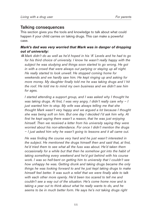## **Talking consequences**

This section gives you the tools and knowledge to talk about what could happen if your child carries on taking drugs. This can make a powerful case.

#### *Mark's dad was very worried that Mark was in danger of dropping out of university:*

*" Mark didn't do as well as he'd hoped in his 'A' Levels and he had to go for his third choice of university. I know he wasn't really happy with the subject he was studying and things soon started to go wrong. He got in with a crowd that were always out partying or staying up all night. He really started to look unwell. He stopped coming home for weekends and we hardly saw him. He kept ringing up and asking for more money. My daughter finally told me he was taking drugs and I hit the roof. He told me to mind my own business and we didn't see him for ages.* 

*I started attending a support group, and I was asked why I thought he was taking drugs. At first, I was very angry, I didn't really care why – I just wanted him to stop. My wife was always telling me that she thought Mark wasn't very happy and we argued a lot because I thought she was being soft on him. But one day I decided I'd ask him why. At first he kept saying there wasn't a reason, that he was just enjoying himself. Then we received a letter from his university saying they were worried about his non-attendance. For once I didn't mention the drugs – I just asked him why he wasn't going to lessons and it all came out.* 

*He was finding the course very hard and he just wasn't interested in the subject. He mentioned the drugs himself then and said that, at first, he'd tried them to see what all the fuss was about. He'd taken them occasionally for a while but that then he somehow got into the habit of taking something every weekend and he'd got behind with his course work. I was so hell-bent on getting him to university that I couldn't see how unhappy he was. Getting drunk and taking drugs became the only things he was looking forward to and he just kept taking drugs to make himself feel better. It was such a relief that we were finally able to talk with each other more openly. He'd been too scared to tell me and couldn't see a way out of the situation. He's come home now and is taking a year out to think about what he really wants to do, and he seems to be in much better form. He says he's not taking drugs right*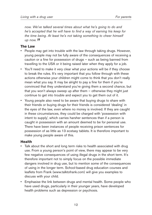*now. We've talked several times about what he's going to do and he's accepted that he will have to find a way of earning his keep for the time being. At least he's not taking something to cheer himself up now. "*

## **The Law**

- People may get into trouble with the law through taking drugs. However, young people may not be fully aware of the consequences of receiving a caution or a fine for possession of drugs – such as being banned from travelling to the USA or it being raised later when they apply for a job.
- You'll need to make it very clear what your actions will be if they choose to break the rules. It's very important that you follow through with these actions otherwise your children might come to think that you don't really mean what you say. It may be alright to pay a fine for them if you're convinced that they understand you're giving them a second chance, but that you won't always sweep up after them – otherwise they might just continue to get into trouble and expect you to get them out of it.
- Young people also need to be aware that buying drugs to share with their friends or buying drugs for their friends is considered 'dealing' in the eyes of the law, even where no money is involved. If they are caught in these circumstances, they could be charged with 'possession with intent to supply', which carries harsher sentences than if a person is caught in possession with an amount deemed to be for personal use. There have been instances of people receiving prison sentences for possession of as little as 13 ecstasy tablets. It is therefore important to make young people aware of this.

## **Health**

- Talk about the short and long term risks to health associated with drug use. From a young person's point of view, there may appear to be very few negative consequences of using illegal drugs in the short term. It's therefore important not to simply focus on the possible immediate dangers involved in drug use, but to mention some of the consequences of using in the longer term. School-based drug education courses and leaflets from Frank (www.talktofrank.com) will give you examples to discuss with your child.
- Emphasise the link between drugs and mental health. Some people who have used drugs, particularly in their younger years, have developed health problems such as depression or psychosis.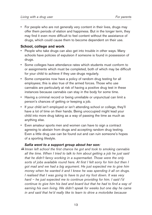• For people who are not generally very content in their lives, drugs may offer them periods of elation and happiness. But in the longer term, they may find it even more difficult to feel content without the assistance of drugs, which could cause them to become dependent on their use.

#### **School, college and work**

- People who take drugs can also get into trouble in other ways. Many schools have policies of expulsion if someone is found in possession of drugs.
- Some colleges have attendance rates which students must conform to or assignments which must be completed, both of which may be difficult for your child to achieve if they use drugs regularly.
- Some companies now have a policy of random drug testing for all employees; this is also true of the armed forces. Those who use cannabis are particularly at risk of having a positive drug test in these instances because cannabis can stay in the body for some time.
- Having a criminal record or being unreliable or unpunctual can limit a person's chances of getting or keeping a job.
- If your child isn't employed or isn't attending school or college, they'll have a lot of time on their hands. Being unoccupied might lead your child into more drug taking as a way of passing the time as much as anything else.
- Even amateur sports men and women can have to sign a contract agreeing to abstain from drugs and accepting random drug testing. Even a little drug use can be found out and can ruin someone's hopes of a sporting lifestyle.

#### *Safia went to a support group about her son:*

*"Imran left school the first chance he got and took to smoking cannabis all the time. When I tried to talk to him about getting a job he just said that he didn't fancy working in a supermarket. Those were the only sorts of jobs available round here. At first I felt sorry for him but then I got mad and we had a big argument. He just expected me to give him money when he wanted it and I knew he was spending it all on drugs. I realised that I was going to have to put my foot down. It was very hard – he just expected me to continue providing for him. I said I'd continue to give him his bed and board but that he had to find a way of earning his own living. We didn't speak for weeks but one day he came in and said that he'd really like to learn to drive a motorbike because*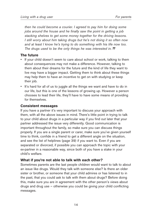*then he could become a courier. I agreed to pay him for doing some jobs around the house and he finally saw the point in getting a job stacking shelves to get some money together for the driving lessons. I still worry about him taking drugs but he's not doing it so often now and at least I know he's trying to do something with his life now too. The drugs used to be the only things he was interested in. "*

## **The future**

- If your child doesn't seem to care about school or work, talking to them about consequences may not make a difference. However, talking to them about their dreams for the future and the kind of life they want to live may have a bigger impact. Getting them to think about these things may help them to have an incentive to get on with studying or keep their job.
- It's hard for all of us to juggle all the things we want and have to do in our life, but this is one of the lessons of growing up. However a person chooses to lead their life, they'll have to have some means of providing for themselves.

## **Consistent messages**

If you have a partner it's very important to discuss your approach with them, with all the above issues in mind. There's little point in trying to talk to your child about drugs in a particular way if you find out later that your partner addressed the issue very differently. Good communication is important throughout the family, so make sure you can discuss things properly. If you are a single parent or carer, make sure you've given yourself time to think, confide in a friend to get a different angle on the situation, and see the list of helplines (page 39) if you want to. Even if you are separated or divorced, if possible you can approach the topic with your ex-partner in a reasonable way, since both of you have a stake in your child's welfare.

## **What if you're not able to talk with each other?**

Sometimes parents are the last people children would want to talk to about an issue like drugs. Would they talk with someone else? Is there an older sister or brother, or someone that your child admires or has listened to in the past, that you could ask to talk with them about drugs? Before doing this, make sure you are in agreement with the other person's views about drugs and drug use – otherwise you could be giving your child conflicting messages.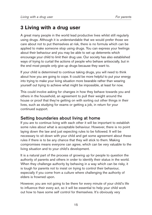# **3 Living with a drug user**

A great many people in the world lead productive lives whilst still regularly using drugs. Although it is understandable that we would prefer those we care about not to put themselves at risk, there is no formula which can be applied to make someone stop using drugs. You can express your feelings about their behaviour and you may be able to set up deterrents which encourage your child to limit their drug use. Our society has also established ways of trying to curtail the actions of people who behave antisocially, but in the end most people only give up drugs because they want to.

If your child is determined to continue taking drugs, you will need to think about how you are going to cope. It could be more helpful to put your energy into trying to make your living situation more bearable rather than wearing yourself out trying to achieve what might be impossible, at least for now.

This could involve asking for changes in how they behave towards you and others in the household, an agreement to pull their weight around the house or proof that they're getting on with sorting out other things in their lives, such as studying for exams or getting a job, in return for your continued support.

# **Setting boundaries about living at home**

If you are to continue living with each other it will be important to establish some rules about what is acceptable behaviour. However, there is no point laying down the law and just expecting rules to be followed. It will be necessary to sit down with your child and get some agreement about these rules if there is to be any chance that they will stick to them. Making compromises means everyone can agree, which can be very valuable to the living situation and to your child's development.

It is a natural part of the process of growing up for people to question the authority of parents and others in order to identify their status in the world. When they challenge authority by behaving in a way which can be risky, it is tough for parents not to insist on trying to control their behaviour, especially if you come from a culture where challenging the authority of elders is frowned upon.

However, you are not going to be there for every minute of your child's life to influence their every act, so it will be essential to help your child work out how to have some self control for themselves. It's obviously very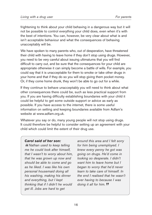frightening to think about your child behaving in a dangerous way but it will not be possible to control everything your child does, even when it's with the best of intentions. You can, however, be very clear about what is and isn't acceptable behaviour and what the consequences of behaving unacceptably will be.

We have spoken to many parents who, out of desperation, have threatened their child with having to leave home if they don't stop using drugs. However, you need to be very careful about issuing ultimatums that you will find difficult to carry out, and be sure that the consequences for your child are appropriate otherwise it can simply become a battle of wills. For example, you could say that it is unacceptable for them to smoke or take other drugs in your home and that if they do so you will stop giving them pocket money. Or, if they come home drunk, they won't be able to go out for a while.

If they continue to behave unacceptably you will need to think about what other consequences there could be, such as less practical support from you. If you are having difficulty establishing boundaries with your child it could be helpful to get some outside support or advice as early as possible. If you have access to the internet, there is some useful information on setting and keeping boundaries available from Adfam's website at www.adfam.org.uk.

Whatever you say or do, many young people will not stop using drugs. It could therefore be helpful to consider setting up an agreement with your child which could limit the extent of their drug use.

#### *Carol said of her son:*

*" Nathan used to keep telling me he could look after himself, that I wasn't to worry about him, that he was grown up now and should be able to come and go as he liked. I was like his own personal housemaid doing all his washing, making his dinner and everything, but I kept thinking that if I didn't he would get ill. Jobs are hard to get*

*around this area and I felt sorry for him being unemployed. I knew every penny he got was going on drugs. He'd come in looking so desperate. I didn't want him to leave home but I began to worry that he'd never learn to take care of himself. In the end I realised that he wasn't ever having to because I was doing it all for him. "*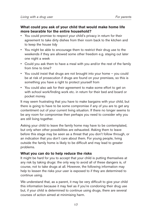#### **What could you ask of your child that would make home life more bearable for the entire household?**

- You could promise to respect your child's privacy in return for their agreement to take dirty dishes from their room back to the kitchen and to keep the house tidy
- You might be able to encourage them to restrict their drug use to the weekends if they are allowed some other freedom e.g. staying out later one night a week
- Could you ask them to have a meal with you and/or the rest of the family from time to time?
- You could insist that drugs are not brought into your home you could be at risk of prosecution if drugs are found on your premises, so this is something you have a right to protect yourself from
- You could also ask for their agreement to make some effort to get on with school work/finding work etc. in return for their bed and board or pocket money.

It may seem frustrating that you have to make bargains with your child, but there is going to have to be some compromise if any of you are to get any contentment out of your current living situation. If there no longer seems to be any room for compromise then perhaps you need to consider why you are still living together.

Asking your child to leave the family home may have to be contemplated, but only when other possibilities are exhausted. Asking them to leave before this stage may be seen as a threat that you don't follow through, or an indication that you don't care about them. For young people, living outside the family home is likely to be difficult and may lead to greater problems.

## **What you can do to help reduce the risks**

It might be hard for you to accept that your child is putting themselves at any risk by taking drugs: the only way to avoid all of these dangers is, of course, not to take drugs at all. However, the following information may help to lessen the risks your user is exposed to if they are determined to continue using.

We understand that, as a parent, it may be very difficult to give your child this information because it may feel as if you're condoning their drug use but, if your child is determined to continue using drugs, there are several courses of action aimed at minimising harm.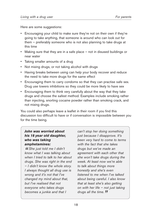Here are some suggestions:

- Encouraging your child to make sure they're not on their own if they're going to take anything, that someone is around who can look out for them – preferably someone who is not also planning to take drugs at this time
- Making sure that they are in a safe place not in disused buildings or near water
- Taking smaller amounts of a drug
- Not mixing drugs, or not taking alcohol with drugs
- Having breaks between using can help your body recover and reduce the need to take more drugs for the same effect
- Encouraging them to carry condoms so that they can practise safe sex. Drug use lowers inhibitions so they could be more likely to have sex
- Encouraging them to think very carefully about the way that they take drugs and choose the safest method. Examples include smoking rather than injecting, snorting cocaine powder rather than smoking crack, and not mixing drugs.

You could also perhaps leave a leaflet in their room if you find this discussion too difficult to have or if conversation is impossible between you for the time being.

## *John was worried about his 18 year old daughter, who was taking amphetamines:*

*" She just told me I didn't know what I was talking about when I tried to talk to her about drugs. She was right in the end – I didn't know the whole story. I always thought all drug use is wrong and it's not that I've changed my mind about that, but I've realised that not everyone who takes drugs becomes a junkie and that I*

*can't stop her doing something just because I disapprove. It's been very hard to come to terms with the fact that she takes drugs but we've made an agreement with each other that she won't take drugs during the week. At least now we're able to talk about things more honestly and she's even listened to me when I've talked about being careful. I also know that at least she's also getting on with her life – not just taking drugs all the time. "*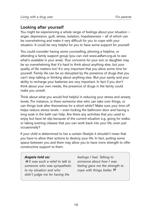## **Looking after yourself**

You might be experiencing a whole range of feelings about your situation – anger, depression, guilt, stress, isolation, hopelessness – all of which can be overwhelming and make it very difficult for you to cope with your situation. It could be very helpful for you to have some support for yourself.

You could consider having some counselling, phoning a helpline, or attending a family support group (you can visit www.adfam.org.uk to see what's available in your area). Your concerns for your son or daughter may be so overwhelming that it's hard to think about anything else, but your quality of life matters too! It's very important that you allow some time for yourself. Family life can be so disrupted by the presence of drugs that you can't stop talking or thinking about anything else. But your sanity and your ability to recharge your batteries are very important. In fact if you don't think about your own needs, the presence of drugs in the family could make you unwell.

Think about what you would find helpful in reducing your stress and anxiety levels. For instance, is there someone else who can take over things, or can things look after themselves for a short while? Make sure your time off helps reduce stress levels – even locking the bathroom door and having a long soak in the bath can help. Are there any activities that you used to enjoy but have let slip because of the current situation e.g. going for walks, or taking evening classes that you can work back into your life, even just occasionally?

If your child is determined to live a certain lifestyle it shouldn't mean that you have to allow their actions to destroy your life. In fact, putting some space between you and them may allow you to have more strength to offer constructive support to them.

#### *Angela told us:*

*"It was such a relief to talk to someone who was sympathetic to my situation and who didn't judge me for having the*

*feelings I had. Talking to someone about how I was feeling gave me the strength to cope with things better. "*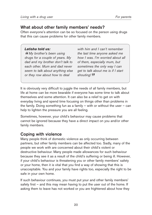## **What about other family members' needs?**

Often everyone's attention can be so focused on the person using drugs that this can cause problems for other family members.

#### *Latisha told us:*

*" My brother's been using drugs for a couple of years. My dad and my brother don't talk to each other. Mum and dad never seem to talk about anything else or they row about how to deal*

*with him and I can't remember the last time anyone asked me how I was. I'm worried about all of them, especially mum, but sometimes the only way I can get to talk about me is if I start shouting! "*

It is obviously very difficult to juggle the needs of all family members, but life at home can be more bearable if everyone has some time to talk about themselves and some attention. It can also be a relief to get on with everyday living and spend time focusing on things other than problems in the family. Doing something fun as a family – with or without the user – can help to lighten the pressure you are all feeling.

Sometimes, however, your child's behaviour may cause problems that cannot be ignored because they have a direct impact on you and/or other family members.

## **Coping with violence**

Many people think of domestic violence as only occurring between partners, but other family members can be affected too. Sadly, many of the people we work with are concerned about their child's violent or destructive behaviour. Many people made allowances for such behaviour because they see it as a result of the child's suffering or being ill. However, if your child's behaviour is threatening you or other family members' safety or your home, then it is vital that you find a way of showing that this is unacceptable. You and your family have rights too, especially the right to be safe in your own home.

If such behaviour continues, you must put your and other family members' safety first – and this may mean having to put the user out of the home. If asking them to leave has not worked or you are frightened about how they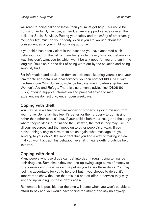will react to being asked to leave, then you must get help. This could be from another family member, a friend, a family support service or even the police or Social Services. Putting your safety and the safety of other family members first must be your priority, even if you are worried about the consequences of your child not living at home.

If your child has been violent in the past and you have accepted such behaviour, you run the risk of them being violent every time you behave in a way they don't want you to, which won't be any good for you or them in the long run. You also run the risk of being worn out by the situation and being seriously hurt.

For information and advice on domestic violence, keeping yourself and your family safe and details of local services, you can contact 0808 200 247, the freephone 24hr domestic violence helpline, run in partnership between Women's Aid and Refuge. There is also a men's advice line (0808 801 0327) offering support, information and practical advice to men experiencing domestic violence (open weekdays).

# **Coping with theft**

You may be in a situation where money or property is going missing from your home. Some families feel it's better for their property to go missing rather than other people's but, if your child's behaviour has got to the stage where they're stealing to finance their lifestyle, the fact is they may use up all your resources and then move on to other people's anyway. If you replace things, only to have them stolen again, what message are you sending to your child? It's important that you find a way of making it clear that you won't accept this behaviour, even if it means getting outside help involved.

# **Coping with debt**

Many people who use drugs can get into debt through trying to finance their drug use. Sometimes they can end up owing large sums of money to drug dealers and pressure can be put on you to pay these debts. You may feel it is acceptable for you to help out but, if you choose to do so, it's important to show the user that this is a one-off offer; otherwise they may just end up running up these debts again.

Remember, it is possible that the time will come when you won't be able to afford to pay and you would have to find the strength to say no anyway.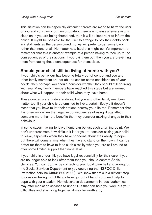This situation can be especially difficult if threats are made to harm the user or you and your family but, unfortunately, there are no easy answers in this situation. If you are being threatened, then it will be important to inform the police. It might be possible for the user to arrange to pay their debts back in instalments as the person owed money will prefer to get some back rather than none at all. No matter how hard this might be, it's important to remember that this is another example of a person having to face up to the consequences of their actions. If you bail them out, then you are preventing them from facing these consequences for themselves.

## **Should your child still be living at home with you?**

If your child's behaviour has become totally out of control and you and other family members are not able to ask for some consideration of your needs, then perhaps you should consider whether they should still be living with you. Many family members have reached this stage but are worried about what will happen to their child when they leave home.

These concerns are understandable, but you and other family members matter too. If your child is determined to live a certain lifestyle it doesn't mean that you have to let their actions destroy your life too. Remember that it is often only when the negative consequences of using drugs affect someone more than the benefits that they consider making changes to their behaviour.

In some cases, having to leave home can be just such a turning point. We don't underestimate how difficult it is for you to consider asking your child to leave, especially when they have concerns about their ability to cope, but there will come a time when they have to stand on their own. It can be better for them to have to face such a reality when you are still around to offer some limited support than none at all.

If your child is under 18, you have legal responsibility for their care. If you are no longer able to look after them then you should contact Social Services. You can do this by contacting your local town hall and asking for the Social Services Department or you could ring the NSPCC Child Protection helpline (0808 800 5000). We know that this is a difficult step to consider taking, but if things have got out of hand, you need help to cope with your situation. Homelessness departments in local authorities may offer mediation services to under 18s that can help you work out your difficulties and stay living together; it may be worth a try.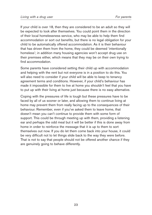If your child is over 18, then they are considered to be an adult so they will be expected to look after themselves. You could point them in the direction of their local homelessness service, who may be able to help them find accommodation or sort out benefits, but there is no legal obligation for your child to be automatically offered accommodation. As it is their behaviour that has driven them from the home, they could be deemed 'intentionally homeless'; in addition many housing agencies won't accept drug use on their premises either, which means that they may be on their own trying to find accommodation.

Some parents have considered setting their child up with accommodation and helping with the rent but not everyone is in a position to do this. You will also need to consider if your child will be able to keep to tenancy agreement terms and conditions. However, if your child's behaviour has made it impossible for them to live at home you shouldn't feel that you have to put up with their living at home just because there is no easy alternative.

Coping with the pressures of life is tough but these pressures have to be faced by all of us sooner or later, and allowing them to continue living at home may prevent them from really facing up to the consequences of their behaviour. Remember, even if you've asked them to leave home, that doesn't mean you can't continue to provide them with some form of support. This could be through meeting up with them, providing a listening ear and perhaps the odd meal but it will be better if this is done away from home in order to reinforce the message that it is up to them to sort themselves out now. If you do let them come back into your house, it could be very difficult not to let things slide back to the way they were before. That is not to say that people should not be offered another chance if they are genuinely going to behave differently.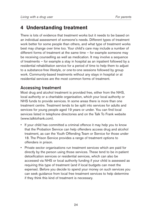# **4 Understanding treatment**

There is lots of evidence that treatment works but it needs to be based on an individual assessment of someone's needs. Different types of treatment work better for some people than others, and what type of treatment works best may change over time too. Your child's care may include a number of different forms of treatment at the same time – for example someone may be receiving counselling as well as medication. It may involve a sequence of treatments – for example a stay in hospital as an inpatient followed by a residential rehabilitation service for a period of time to help them to adjust to a substance-free lifestyle, or one-to-one sessions followed by group work. Community-based treatments without any stays in hospital or at residential services are the most common forms of treatment.

## **Accessing treatment**

Most drug and alcohol treatment is provided free, either from the NHS, local authority or a charitable organisation, which your local authority or NHS funds to provide services. In some areas there is more than one treatment centre. Treatment tends to be split into services for adults and services for young people aged 19 years or under. You can find local services listed in telephone directories and on the Talk To Frank website (www.talktofrank.com).

- If your child has committed a criminal offence it may help you to know that the Probation Service can help offenders access drug and alcohol treatment, as can the Youth Offending Team or Service for those under 18. The Prison Service provides a range of treatment options to offenders in prison.
- Private sector organisations run treatment services which are paid for directly by the person using those services. These tend to be in-patient detoxification services or residential services, which can also be accessed via NHS or local authority funding if your child is assessed as requiring this type of treatment (and if local budgets can meet the expense). Before you decide to spend your money on such services you can seek guidance from local free treatment services to help determine if they think this kind of treatment is necessary.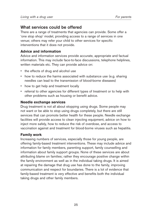## **What services could be offered**

There are a range of treatments that agencies can provide. Some offer a 'one stop shop' model, providing access to a range of services in one venue; others may refer your child to other services for specific interventions that it does not provide.

## **Advice and information**

Advice and information services provide accurate, appropriate and factual information. This may include face-to-face discussions, telephone helplines, written materials etc. They can provide advice on:

- the effects of drug and alcohol use
- how to reduce the harms associated with substance use (e.g. sharing needles can lead to the transmission of blood-borne diseases)
- how to get help and treatment locally
- referral to other agencies for different types of treatment or to help with other problems such as housing or benefit advice.

#### **Needle exchange services**

Drug treatment is not all about stopping using drugs. Some people may not want or be able to stop using drugs completely, but there are still services that can promote better health for these people. Needle exchange facilities will provide access to clean injecting equipment, advice on how to inject more safely, how to reduce the risk of overdose, and access to vaccination against and treatment for blood-borne viruses such as hepatitis.

## **Family work**

Increasing numbers of services, especially those for young people, are offering family-based treatment interventions. These may include advice and information for family members, parenting support, family counselling and information about family support groups. None of these services are about attributing blame on families; rather they encourage positive change within the family environment as well as in the individual taking drugs. It is aimed at repairing the damage that drug use has done to the family, improving communication and respect for boundaries. There is a lot of evidence that family-based treatment is very effective and benefits both the individual taking drugs and other family members.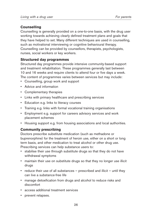## **Counselling**

Counselling is generally provided on a one-to-one basis, with the drug user working towards achieving clearly defined treatment plans and goals that they have helped to set. Many different techniques are used in counselling, such as motivational interviewing or cognitive behavioural therapy. Counselling can be provided by counsellors, therapists, psychologists, nurses, social workers or key workers.

## **Structured day programmes**

Structured day programmes provide intensive community-based support and treatment rehabilitation. These programmes generally last between 10 and 16 weeks and require clients to attend four or five days a week. The content of programmes varies between services but may include:

- Counselling, group work and support
- Advice and information
- Complementary therapies
- Links with primary healthcare and prescribing services
- Education e.g. links to literacy courses
- Training e.g. links with formal vocational training organisations
- Employment e.g. support for careers advisory services and work placement schemes
- Housing support e.g. from housing associations and local authorities.

## **Community prescribing**

Doctors prescribe substitute medication (such as methadone or buprenorphine) for the treatment of heroin use, either on a short or long term basis, and other medication to treat alcohol or other drug use. Prescribing services can help substance users to:

- stabilise their use through substitute drugs so that they do not have withdrawal symptoms
- maintain their use on substitute drugs so that they no longer use illicit drugs
- reduce their use of all substances prescribed and illicit until they can live a substance-free life
- manage detoxification from drugs and alcohol to reduce risks and discomfort
- access additional treatment services
- prevent relapses.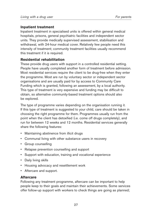#### **Inpatient treatment**

Inpatient treatment in specialised units is offered within general medical hospitals, prisons, general psychiatric facilities and independent sector units. They provide medically supervised assessment, stabilisation and withdrawal, with 24-hour medical cover. Relatively few people need this intensity of treatment; community treatment facilities usually recommend this treatment if it is required.

## **Residential rehabilitation**

These provide drug users with support in a controlled residential setting. People have usually completed another form of treatment before admission. Most residential services require the client to be drug-free when they enter the programme. Most are run by voluntary sector or independent sector organisations and are usually paid for by access to Community Care Funding which is granted, following an assessment, by a local authority. This type of treatment is very expensive and funding may be difficult to obtain, so alternative community-based treatment options should also be explored.

The type of programme varies depending on the organisation running it. If this type of treatment is suggested to your child, care should be taken in choosing the right programme for them. Programmes usually run from the point when the client has detoxified (i.e. come off drugs completely), and run for between 12 weeks and 12 months. Residential services generally share the following features:

- Maintaining abstinence from illicit drugs
- Communal living with other substance users in recovery
- Group counselling
- Relapse prevention counselling and support
- Support with education, training and vocational experience
- Daily living skills
- Housing advocacy and resettlement work
- Aftercare and support.

## **Aftercare**

Following any treatment programme, aftercare can be important to help people keep to their goals and maintain their achievements. Some services offer follow-up support with workers to check things are going as planned;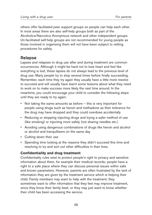others offer facilitated peer support groups so people can help each other. In most areas there are also self-help groups both as part of the Alcoholics/Narcotics Anonymous network and other independent groups. Un-facilitated self-help groups are not recommended for young people as those involved in organising them will not have been subject to vetting procedures for safety.

## **Relapse**

Lapses and relapses to drug use after and during treatment are common occurrences. Although it might be hard not to lose heart and feel like everything is lost, these lapses do not always lead to the previous level of drug use. Many people try to stop several times before finally succeeding. Remember, each time they try again they usually have a little more resolve to succeed and will usually have learnt some lessons about what they need to work on to make success more likely the next time around. In the meantime, you could encourage your child to consider the following steps until they are ready to try again:

- Not taking the same amounts as before this is very important for people using drugs such as heroin and methadone as their tolerance for the drug may have dropped and they could overdose accidentally
- Reducing or stopping injecting drugs and trying a safer method of use (like smoking) or injecting more safely (not sharing needles etc.)
- Avoiding using dangerous combinations of drugs like heroin and alcohol or alcohol and tranquillisers on the same day
- Cutting down their use
- Spending time looking at the reasons they didn't succeed this time and resolving to try and sort out other difficulties in their lives.

## **Confidentiality and drug treatment**

Confidentiality rules exist to protect people's right to privacy and sensitive information about them, for example their medical records; people have a right to a safe place where they can discuss personal issues within safe and known parameters. However, parents are often frustrated by the lack of information they are given by the treatment service which is helping their child. Family members may want to help with the treatment; they sometimes want to offer information that they feel may improve treatment, since they know their family best; or they may just want to know whether their child has been accessing the service.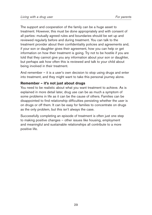The support and cooperation of the family can be a huge asset to treatment. However, this must be done appropriately and with consent of all parties: mutually agreed rules and boundaries should be set up and reviewed regularly before and during treatment. You can talk to the treatment provider about their confidentiality policies and agreements and, if your son or daughter gives their agreement, how you can help or get information on how their treatment is going. Try not to be hostile if you are told that they cannot give you any information about your son or daughter, but perhaps ask how often this is reviewed and talk to your child about being involved in their treatment.

And remember – it is a user's own decision to stop using drugs and enter into treatment, and they might want to take this personal journey alone.

## **Remember – it's not just about drugs**

You need to be realistic about what you want treatment to achieve. As is explained in more detail later, drug use can be as much a symptom of some problems in life as it can be the cause of others. Families can be disappointed to find relationship difficulties persisting whether the user is on drugs or off them. It can be easy for families to concentrate on drugs as the only problem, but this isn't always the case.

Successfully completing an episode of treatment is often just one step to making positive changes – other issues like housing, employment and meaningful and sustainable relationships all contribute to a more positive life.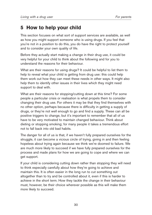# **5 How to help your child**

This section focuses on what sort of support services are available, as well as how you might support someone who is using drugs. If you feel that you're not in a position to do this, you do have the right to protect yourself and to consider your own quality of life.

Before they actually start making a change in their drug use, it could be very helpful for your child to think about the following and for you to understand the reasons for their behaviour.

What are their reasons for using drugs? It could be helpful to list them to help to reveal what your child is getting from drug use: this could help them work out how they can meet these needs in other ways. It might also help them to identify other issues in their lives which they might need support to deal with.

What are their reasons for stopping/cutting down at this time? For some people a particular crisis or realisation is what propels them to consider changing their drug use. For others it may be that they find themselves with no other option, perhaps because there is difficulty in getting a supply of drugs, or they're not well enough to go and find a supply. These can all be positive triggers to change, but it's important to remember that all of us have to be very motivated to maintain changed behaviour. Think about dieting or stopping smoking; for many people it takes a tremendous effort not to fall back into old bad habits.

The danger for all of us is that, if we haven't fully prepared ourselves for the struggle, it can become a vicious circle of trying, giving in and then feeling hopeless about trying again because we think we're doomed to failure. We are much more likely to succeed if we have fully prepared ourselves for the process and made plans for how we are going to cope and where we can get support.

If your child is considering cutting down rather than stopping they will need to think especially carefully about how they're going to achieve and maintain this. It is often easier in the long run to cut something out altogether than to try and be controlled about it, even if this is harder to achieve in the short term. How they tackle the change in their behaviour must, however, be their choice wherever possible as this will make them more likely to succeed.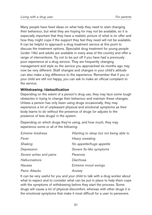Many people have fixed ideas on what help they need to start changing their behaviour, but what they are hoping for may not be available, so it is especially important that they have a realistic picture of what is on offer and how they might cope if the support they feel they need will not be available. It can be helpful to approach a drug treatment service at this point to discuss the treatment options. Specialist drug treatment for young people (under 19s) and adults are available in every area of the country and offer a range of interventions. Try not to be put off if you have had a previously poor experience at a drug service. They are frequently changing management and style so the service you approached six months ago may now be very different. Staff changes and changes in your child's attitude can also make a big difference to the experience. Remember that if you or your child are still not happy, you can ask to make an official complaint to the service.

## **Withdrawing /detoxification**

Depending on the extent of a person's drug use, they may face some tough obstacles in trying to change their behaviour and maintain these changes. Unless a person has only been using drugs occasionally, they may experience a lot of unpleasant physical and emotional symptoms as their body learns to do without the presence of drugs (or adjusts to the presence of less drugs) in the system.

Depending on which drugs they're using, and how much, they may experience some or all of the following:

| Extreme tiredness      | Wanting to sleep but not being able to |
|------------------------|----------------------------------------|
| Fever                  | Heavy sweating                         |
| Shaking                | No appetite/huge appetite              |
| Depression             | Severe flu-like symptoms               |
| Severe aches and pains | Paranoia                               |
| <b>Hallucinations</b>  | Diarrhoea                              |
| Nausea                 | Extreme mood swings                    |
| <b>Panic Attacks</b>   | Anxiety                                |

It can be very useful for you and your child to talk with a drug worker about what to expect and to consider what can be put in place to help them cope with the symptoms of withdrawing before they start the process. Some drugs will cause a lot of physical discomfort, whereas with other drugs it is the emotional symptoms that make it most difficult for a user to persevere.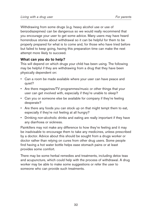Withdrawing from some drugs (e.g. heavy alcohol use or use of benzodiazepines) can be dangerous so we would really recommend that you encourage your user to get some advice. Many users may have heard horrendous stories about withdrawal so it can be helpful for them to be properly prepared for what is to come and, for those who have tried before but failed to keep going, having this preparation time can make the next attempt more likely to succeed.

## **What can you do to help?**

This will depend on which drugs your child has been using. The following may be helpful if they are withdrawing from a drug that they have been physically dependent on:

- Can a room be made available where your user can have peace and quiet?
- Are there magazines/TV programmes/music or other things that your user can get involved with, especially if they're unable to sleep?
- Can you or someone else be available for company if they're feeling desperate?
- Are there any foods you can stock up on that might tempt them to eat. especially if they're not feeling at all hungry?
- Drinking non-alcoholic drinks and eating are really important if they have any diarrhoea or sickness.

Painkillers may not make any difference to how they're feeling and it may be inadvisable to encourage them to take any medicines, unless prescribed by a doctor. Advice about this should be sought from a drugs worker or doctor rather than relying on cures from other drug users. Some people find having a hot water bottle helps ease stomach pains or at least provides some comfort.

There may be some herbal remedies and treatments, including detox teas and acupuncture, which could help with the process of withdrawal. A drug worker may be able to make some suggestions or refer the user to someone who can provide such treatments.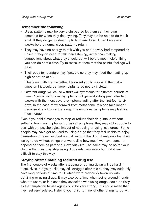#### **Remember the following:**

- Sleep patterns may be very disturbed so let them set their own timetable for when they do anything. They may not be able to do much at all. If they do get to sleep try to let them do so. It can be several weeks before normal sleep patterns return.
- They may have no energy to talk with you and be very bad tempered or upset. If they do need to talk then listening, rather than making suggestions about what they should do, will be the most helpful thing you can do at this time. Try to reassure them that the painful feelings will pass.
- Their body temperature may fluctuate so they may need the heating up high or not on at all.
- Check out with them whether they want you to stay with them at all times or if it would be more helpful to be nearby instead.
- Different drugs will cause withdrawal symptoms for different periods of time. Physical withdrawal symptoms will generally disappear after two weeks with the most severe symptoms fading after the first four to six days. In the case of withdrawal from methadone, this can take longer because it is a long-acting drug. The emotional symptoms may last for much longer.

Even if your child manages to stop or reduce their drug intake without suffering too many unpleasant physical symptoms, they may still struggle to deal with the psychological impact of not using or using less drugs. Some people may have got so used to using drugs that they feel unable to enjoy themselves, or even just feel normal, without the drug. It may only be when we try to do without things that we realise how much we have come to depend on them as part of our everyday life. The same may be so for your child in that they may stop using drugs relatively easily but find it very difficult to stay this way.

## **Staying off/maintaining reduced drug use**

The first couple of weeks after stopping or cutting down will be hard in themselves, but your child may still struggle after this as they may suddenly have long periods of time to fill which were previously taken up with obtaining or using drugs. It may also be a time when being around friends who are users, or in places they associate with using drugs, could be risky as the temptation to use again could be very strong. This could mean that they feel very isolated. Helping your child to think of other things to do with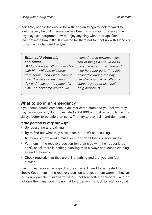their time, people they could be with, or plan things to look forward to could be very helpful. If someone has been using drugs for a long time, they may have forgotten how to enjoy anything without drugs. Don't underestimate how difficult it will be for them not to meet up with friends or to maintain a changed lifestyle.

## *Brian said about his son Mike:*

*"I took a week off work to stay with him while he withdrew from heroin, then I went back to work. He was on his own all day and it just got too much for him. The next time around we*

*worked out in advance what sort of things he could do to pass the time on his own and who he could go to if he felt desperate during the day. He also arranged to attend a support group at his local drug service. "*

## **What to do in an emergency**

If you come across someone in an intoxicated state and you believe they may be seriously ill, do not hesitate to dial 999 and call an ambulance. It's always better to be safe than sorry. Then try to stay calm and don't panic.

## *If the person is very drowsy:*

- Be reassuring and calming
- Try to find out what they have taken but don't be accusing
- Try to keep them awake/make sure they don't lose consciousness
- Put them in the recovery position (on their side with their upper knee bent), check there is nothing blocking their airways and loosen clothing around their neck
- Check regularly that they are still breathing and that you can feel a pulse.

Even if they recover fairly quickly, they may still need to be treated for shock. Keep them in the recovery position and keep them warm. If they ask for a drink give them lukewarm water – not tea, coffee or alcohol – and do not give them any food. It's normal for a person in shock to retch or vomit.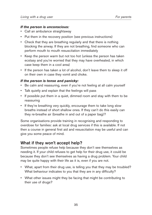#### *If the person is unconscious:*

- Call an ambulance straightaway
- Put them in the recovery position (see previous instructions)
- Check that they are breathing regularly and that there is nothing blocking the airway. If they are not breathing, find someone who can perform mouth to mouth resuscitation immediately
- Keep the person warm but not too hot (unless the person has taken ecstasy and you're worried that they may have overheated, in which case keep them in a cool area)
- If the person has taken a lot of alcohol, don't leave them to sleep it off on their own in case they vomit and choke.

#### *If the person is tense and panicky:*

- Be calm and reassuring, even if you're not feeling at all calm yourself
- Talk quietly and explain that the feelings will pass
- If possible put them in a quiet, dimmed room and stay with them to be reassuring
- If they're breathing very quickly, encourage them to take long slow breaths instead of short shallow ones. If they can't do this easily can they re-breathe air (breathe in and out of a paper bag)?

Some organisations provide training in recognising and responding to overdose for families: ask at local drug services if this is available. If not then a course in general first aid and resuscitation may be useful and can give you some peace of mind.

## **What if they won't accept help?**

Sometimes people refuse help because they don't see themselves as needing it. If your child refuses to get help for their drug use, it could be because they don't see themselves as having a drug problem. Your child may be quite happy with their life as it is, even if you are not.

- What, apart from their drug use, is telling you that they may be troubled? What behaviour indicates to you that they are in any difficulty?
- What other issues might they be facing that might be contributing to their use of drugs?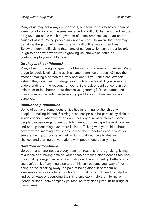Many of us may not always recognise it, but some of our behaviour can be a method of coping with issues we're finding difficult. As mentioned before, drug use can be as much a symptom of some problems as it can be the cause of others. Young people may not even be fully aware that they may be taking drugs to help them cope with difficult issues in their lives. Below are some difficulties that many of us face which can be particularly tough to cope with when we're growing up, and which could be contributing to your child's use:

#### *Do they lack confidence?*

Many of us go through stages of not feeling terribly sure of ourselves. Many drugs (especially stimulants such as amphetamines or cocaine) have the effect of making a person feel very confident. If your child has low selfesteem they could lean on drugs as a confidence boost. If you have any understanding of the reasons for your child's lack of confidence, can you help them to feel better about themselves generally? Reassurance and praise from our parents can have a big part to play in how we feel about ourselves.

#### *Relationship difficulties*

Some of us have tremendous difficulties in forming relationships with people or making friends. Forming relationships can be particularly difficult in adolescence, when we often don't feel very sure of ourselves. Some people can use drugs to feel confident enough to escape these difficulties and end up becoming even more isolated. Talking with your child about how they feel meeting new people, giving them feedback about what you see are their good points as well as talking about ways to deal with shyness and starting conversations with people could really help.

#### *Boredom or loneliness*

Boredom and loneliness are very common reasons for drug taking. Being at a loose end, having time on your hands or feeling alone doesn't feel very good. Taking drugs can be a reasonably quick way of feeling better and, if you can't think of anything else to do, this can become your way of not being bored or taking away the pain of being alone. If boredom or loneliness are reasons for your child's drug taking, you'll need to help them find other ways of occupying their time enjoyably, help them to make friends or keep them company yourself, so they don't just turn to drugs at these times.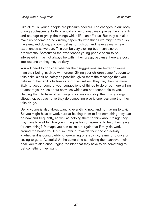Like all of us, young people are pleasure seekers. The changes in our body during adolescence, both physical and emotional, may give us the strength and courage to grasp the things which life can offer us. But they can also make us become bored quickly, especially with things we might previously have enjoyed doing, and compel us to rush out and have as many new experiences as we can. This can be very exciting but it can also be problematic. Sometimes the experiences young people seem to be interested in may not always be within their grasp, because there are cost implications or, they may be risky.

You will need to consider whether their suggestions are better or worse than their being involved with drugs. Giving your children some freedom to take risks, albeit as safely as possible, gives them the message that you believe in their ability to take care of themselves. They may then be more likely to accept some of your suggestions of things to do or be more willing to accept your rules about activities which are not acceptable to you. Helping them to have other things to do may not stop them using drugs altogether, but each time they do something else is one less time that they take drugs.

Being young is also about wanting everything now and not having to wait. So you might have to work hard at helping them to find something they can do now and frequently, as well as helping them to think about things they may have to wait for. Are you in the position of agreeing to help them save for something? Perhaps you can make a bargain that if they do work around the house you'll put something towards their chosen activity – whether it is going clubbing, go-karting or skydiving, learning to drive or saving to go to Australia! At the same time as helping them achieve their goal, you're also encouraging the idea that they have to do something to get something they want.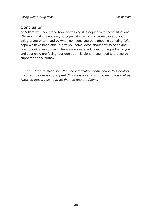## **Conclusion**

At Adfam we understand how distressing it is coping with these situations. We know that it is not easy to cope with having someone close to you using drugs or to stand by when someone you care about is suffering. We hope we have been able to give you some ideas about how to cope and how to look after yourself. There are no easy solutions to the problems you and your child are facing, but don't do this alone – you need and deserve support on this journey.

*We have tried to make sure that the information contained in this booklet is current before going to print. If you discover any mistakes, please let us know so that we can correct them in future editions.*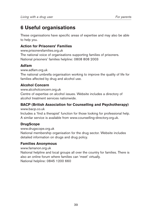# **6 Useful organisations**

These organisations have specific areas of expertise and may also be able to help you.

## **Action for Prisoners' Families**

www.prisonersfamilies.org.uk The national voice of organisations supporting families of prisoners. National prisoners' families helpline: 0808 808 2003

## **Adfam**

www.adfam.org.uk

The national umbrella organisation working to improve the quality of life for families affected by drug and alcohol use.

## **Alcohol Concern**

www.alcoholconcern.org.uk

Centre of expertise on alcohol issues. Website includes a directory of alcohol treatment services nationwide.

## **BACP (British Association for Counselling and Psychotherapy)**

www.bacp.co.uk

Includes a 'find a therapist' function for those looking for professional help. A similar service is available from www.counselling-directory.org.uk.

## **DrugScope**

www.drugscope.org.uk National membership organisation for the drug sector. Website includes detailed information on drugs and drug policy.

## **Families Anonymous**

www.famanon.org.uk

National helpline and local groups all over the country for families. There is also an online forum where families can 'meet' virtually. National helpline: 0845 1200 660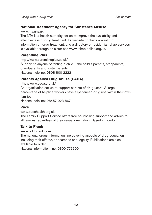## **National Treatment Agency for Substance Misuse**

www.nta.nhs.uk

The NTA is a health authority set up to improve the availability and effectiveness of drug treatment. Its website contains a wealth of information on drug treatment, and a directory of residential rehab services is available through its sister site www.rehab-online.org.uk.

## **Parentline Plus**

http://www.parentlineplus.co.uk/ Support to anyone parenting a child  $-$  the child's parents, stepparents, grandparents and foster parents. National helpline: 0808 800 2222

## **Parents Against Drug Abuse (PADA)**

http://www.pada.org.uk/ An organisation set up to support parents of drug users. A large percentage of helpline workers have experienced drug use within their own families. National helpline: 08457 023 867

## **Pace**

www.pacehealth.org.uk

The Family Support Service offers free counselling support and advice to all families regardless of their sexual orientation. Based in London.

## **Talk to Frank**

www.talktofrank.com

The national drugs information line covering aspects of drug education including their effects, appearance and legality. Publications are also available to order

National information line: 0800 776600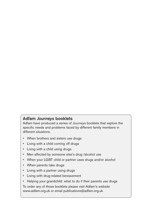## **Adfam** *Journeys* **booklets**

Adfam have produced a series of *Journeys* booklets that explore the specific needs and problems faced by different family members in different situations.

- When brothers and sisters use drugs
- Living with a child coming off drugs
- Living with a child using drugs
- Men affected by someone else's drug /alcohol use
- When your LGBT child or partner uses drugs and/or alcohol
- When parents take drugs
- Living with a partner using drugs
- Living with drug-related bereavement
- Helping your grandchild: what to do if their parents use drugs

To order any of these booklets please visit Adfam's website www.adfam.org.uk or email publications@adfam.org.uk